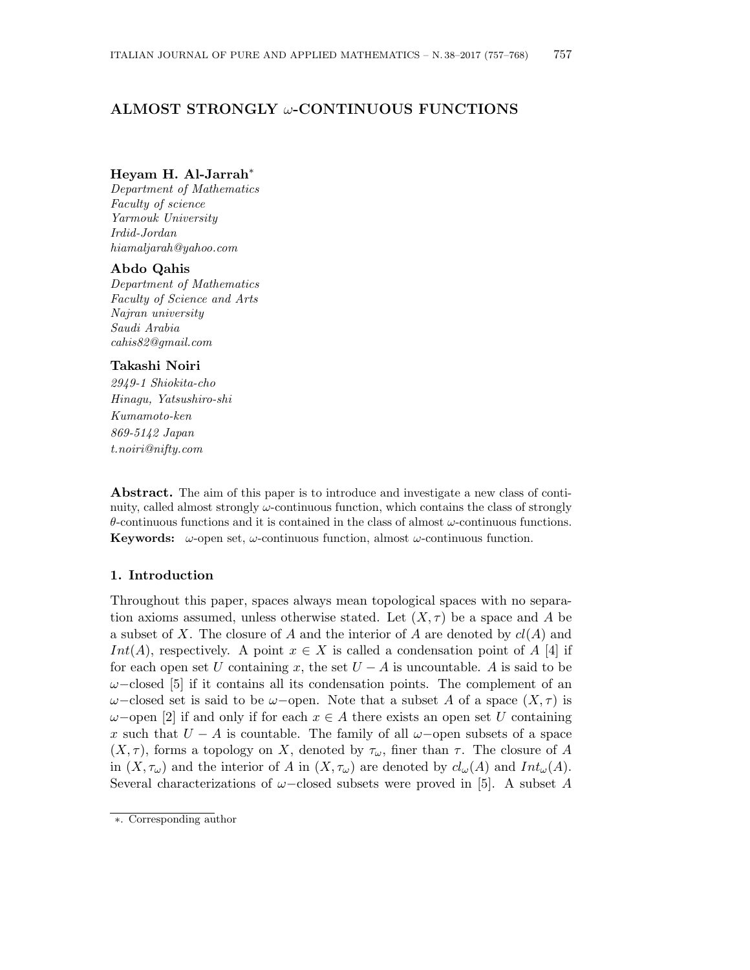# ALMOST STRONGLY  $\omega$ -CONTINUOUS FUNCTIONS

### Heyam H. Al-Jarrah<sup>∗</sup>

Department of Mathematics Faculty of science Yarmouk University Irdid-Jordan hiamaljarah@yahoo.com

## Abdo Qahis

Department of Mathematics Faculty of Science and Arts Najran university Saudi Arabia cahis82@gmail.com

#### Takashi Noiri

2949-1 Shiokita-cho Hinagu, Yatsushiro-shi Kumamoto-ken 869-5142 Japan t.noiri@nifty.com

Abstract. The aim of this paper is to introduce and investigate a new class of continuity, called almost strongly  $\omega$ -continuous function, which contains the class of strongly θ-continuous functions and it is contained in the class of almost ω-continuous functions. **Keywords:**  $\omega$ -open set,  $\omega$ -continuous function, almost  $\omega$ -continuous function.

#### 1. Introduction

Throughout this paper, spaces always mean topological spaces with no separation axioms assumed, unless otherwise stated. Let  $(X, \tau)$  be a space and A be a subset of X. The closure of A and the interior of A are denoted by  $cl(A)$  and Int(A), respectively. A point  $x \in X$  is called a condensation point of A [4] if for each open set U containing x, the set  $U - A$  is uncountable. A is said to be  $\omega$ –closed [5] if it contains all its condensation points. The complement of an  $\omega$ –closed set is said to be  $\omega$ –open. Note that a subset A of a space  $(X, \tau)$  is  $\omega$ –open [2] if and only if for each  $x \in A$  there exists an open set U containing x such that  $U - A$  is countable. The family of all  $\omega$ -open subsets of a space  $(X, \tau)$ , forms a topology on X, denoted by  $\tau_{\omega}$ , finer than  $\tau$ . The closure of A in  $(X, \tau_{\omega})$  and the interior of A in  $(X, \tau_{\omega})$  are denoted by  $cl_{\omega}(A)$  and  $Int_{\omega}(A)$ . Several characterizations of  $\omega$ –closed subsets were proved in [5]. A subset A

<sup>∗</sup>. Corresponding author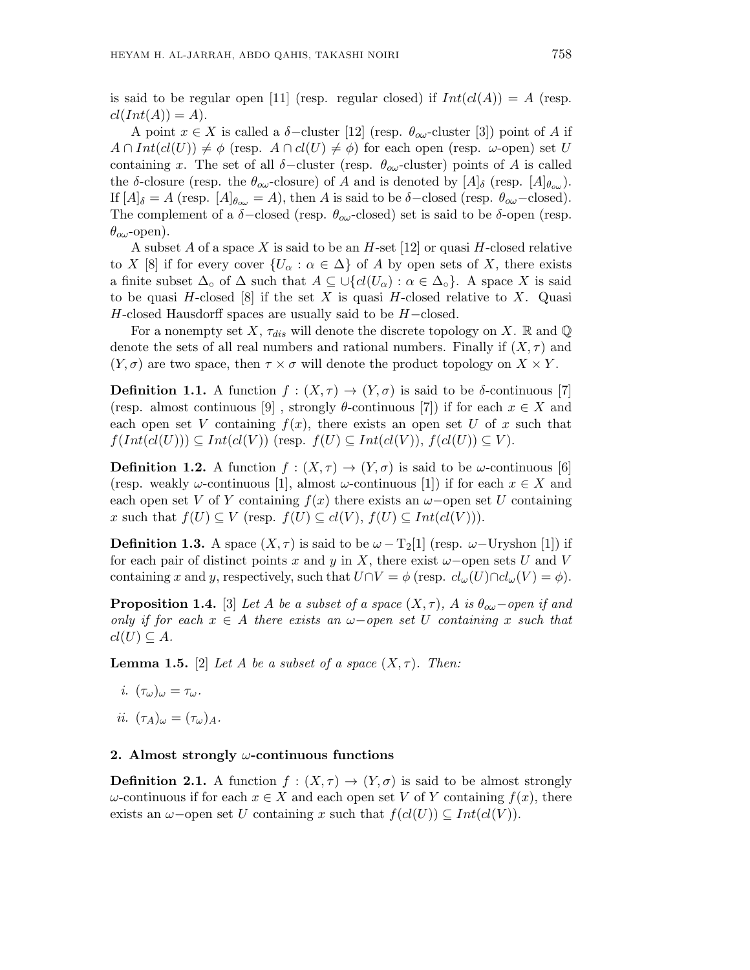is said to be regular open [11] (resp. regular closed) if  $Int(cl(A)) = A$  (resp.  $cl(Int(A)) = A).$ 

A point  $x \in X$  is called a  $\delta$ -cluster [12] (resp.  $\theta_{\alpha\omega}$ -cluster [3]) point of A if  $A \cap Int(cl(U)) \neq \phi$  (resp.  $A \cap cl(U) \neq \phi$ ) for each open (resp.  $\omega$ -open) set U containing x. The set of all  $\delta$ -cluster (resp.  $\theta_{\alpha\omega}$ -cluster) points of A is called the δ-closure (resp. the  $\theta_{\infty}$ -closure) of A and is denoted by  $[A]_{\delta}$  (resp.  $[A]_{\theta_{\infty}}$ ). If  $[A]_{\delta} = A$  (resp.  $[A]_{\theta_{\text{ow}}} = A$ ), then A is said to be  $\delta$ -closed (resp.  $\theta_{\text{ow}}$ -closed). The complement of a  $\delta$ -closed (resp.  $\theta_{\alpha\omega}$ -closed) set is said to be  $\delta$ -open (resp.  $\theta_{\alpha\omega}$ -open).

A subset A of a space X is said to be an  $H$ -set [12] or quasi H-closed relative to X [8] if for every cover  $\{U_{\alpha} : \alpha \in \Delta\}$  of A by open sets of X, there exists a finite subset  $\Delta_{\circ}$  of  $\Delta$  such that  $A \subseteq \bigcup \{ cl(U_{\alpha}) : \alpha \in \Delta_{\circ} \}$ . A space X is said to be quasi H-closed [8] if the set X is quasi H-closed relative to X. Quasi  $H$ -closed Hausdorff spaces are usually said to be  $H$ -closed.

For a nonempty set X,  $\tau_{dis}$  will denote the discrete topology on X. R and Q denote the sets of all real numbers and rational numbers. Finally if  $(X, \tau)$  and  $(Y, \sigma)$  are two space, then  $\tau \times \sigma$  will denote the product topology on  $X \times Y$ .

**Definition 1.1.** A function  $f : (X, \tau) \to (Y, \sigma)$  is said to be  $\delta$ -continuous [7] (resp. almost continuous [9], strongly  $\theta$ -continuous [7]) if for each  $x \in X$  and each open set V containing  $f(x)$ , there exists an open set U of x such that  $f(Int(cl(U))) \subseteq Int(cl(V))$  (resp.  $f(U) \subseteq Int(cl(V)), f(cl(U)) \subseteq V$ ).

**Definition 1.2.** A function  $f : (X, \tau) \to (Y, \sigma)$  is said to be  $\omega$ -continuous [6] (resp. weakly  $\omega$ -continuous [1], almost  $\omega$ -continuous [1]) if for each  $x \in X$  and each open set V of Y containing  $f(x)$  there exists an  $\omega$ -open set U containing x such that  $f(U) \subseteq V$  (resp.  $f(U) \subseteq cl(V)$ ,  $f(U) \subseteq Int(cl(V))$ ).

**Definition 1.3.** A space  $(X, \tau)$  is said to be  $\omega - T_2[1]$  (resp.  $\omega$ -Uryshon [1]) if for each pair of distinct points x and y in X, there exist  $\omega$ -open sets U and V containing x and y, respectively, such that  $U \cap V = \phi$  (resp.  $cl_{\omega}(U) \cap cl_{\omega}(V) = \phi$ ).

**Proposition 1.4.** [3] Let A be a subset of a space  $(X, \tau)$ , A is  $\theta_{\alpha\omega}$ -open if and only if for each  $x \in A$  there exists an  $\omega$ -open set U containing x such that  $cl(U) \subseteq A$ .

**Lemma 1.5.** [2] Let A be a subset of a space  $(X, \tau)$ . Then:

- i.  $(\tau_{\omega})_{\omega} = \tau_{\omega}$ .
- ii.  $(\tau_A)_{\omega} = (\tau_{\omega})_A$ .

#### 2. Almost strongly  $\omega$ -continuous functions

**Definition 2.1.** A function  $f : (X, \tau) \to (Y, \sigma)$  is said to be almost strongly  $\omega$ -continuous if for each  $x \in X$  and each open set V of Y containing  $f(x)$ , there exists an  $\omega$ -open set U containing x such that  $f(cl(U)) \subseteq Int(cl(V))$ .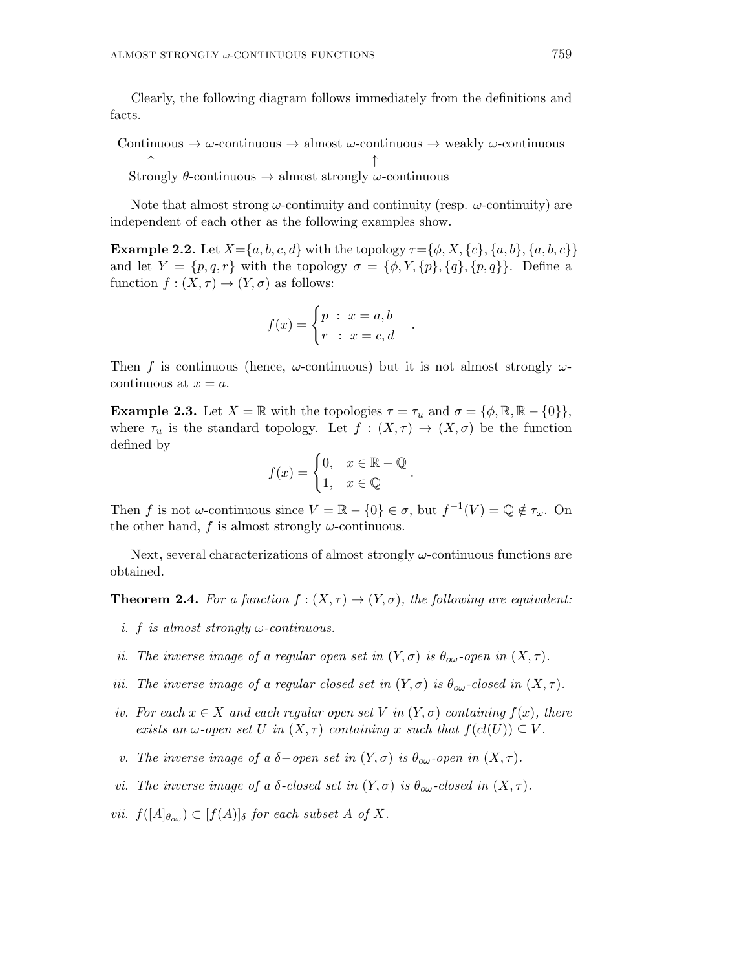Clearly, the following diagram follows immediately from the definitions and facts.

Continuous  $\rightarrow \omega$ -continuous  $\rightarrow$  almost  $\omega$ -continuous  $\rightarrow$  weakly  $\omega$ -continuous ↑ ↑ Strongly  $\theta$ -continuous  $\rightarrow$  almost strongly  $\omega$ -continuous

Note that almost strong  $\omega$ -continuity and continuity (resp.  $\omega$ -continuity) are independent of each other as the following examples show.

**Example 2.2.** Let  $X = \{a, b, c, d\}$  with the topology  $\tau = \{\phi, X, \{c\}, \{a, b\}, \{a, b, c\}\}\$ and let  $Y = \{p, q, r\}$  with the topology  $\sigma = \{\phi, Y, \{p\}, \{q\}, \{p, q\}\}\$ . Define a function  $f : (X, \tau) \to (Y, \sigma)$  as follows:

$$
f(x) = \begin{cases} p : x = a, b \\ r : x = c, d \end{cases}
$$

.

.

Then f is continuous (hence,  $\omega$ -continuous) but it is not almost strongly  $\omega$ continuous at  $x = a$ .

**Example 2.3.** Let  $X = \mathbb{R}$  with the topologies  $\tau = \tau_u$  and  $\sigma = {\phi, \mathbb{R}, \mathbb{R} - \{0\}\},\$ where  $\tau_u$  is the standard topology. Let  $f : (X, \tau) \to (X, \sigma)$  be the function defined by

$$
f(x) = \begin{cases} 0, & x \in \mathbb{R} - \mathbb{Q} \\ 1, & x \in \mathbb{Q} \end{cases}
$$

Then f is not  $\omega$ -continuous since  $V = \mathbb{R} - \{0\} \in \sigma$ , but  $f^{-1}(V) = \mathbb{Q} \notin \tau_{\omega}$ . On the other hand, f is almost strongly  $\omega$ -continuous.

Next, several characterizations of almost strongly  $\omega$ -continuous functions are obtained.

**Theorem 2.4.** For a function  $f : (X, \tau) \to (Y, \sigma)$ , the following are equivalent:

- i. f is almost strongly  $\omega$ -continuous.
- ii. The inverse image of a regular open set in  $(Y, \sigma)$  is  $\theta_{\alpha\omega}$ -open in  $(X, \tau)$ .
- iii. The inverse image of a regular closed set in  $(Y, \sigma)$  is  $\theta_{\alpha\omega}$ -closed in  $(X, \tau)$ .
- iv. For each  $x \in X$  and each regular open set V in  $(Y, \sigma)$  containing  $f(x)$ , there exists an  $\omega$ -open set U in  $(X, \tau)$  containing x such that  $f(cl(U)) \subseteq V$ .
- v. The inverse image of a  $\delta$ -open set in  $(Y, \sigma)$  is  $\theta_{\alpha\omega}$ -open in  $(X, \tau)$ .
- vi. The inverse image of a  $\delta$ -closed set in  $(Y, \sigma)$  is  $\theta_{\alpha\omega}$ -closed in  $(X, \tau)$ .
- vii.  $f([A]_{\theta_{o\omega}}) \subset [f(A)]_{\delta}$  for each subset A of X.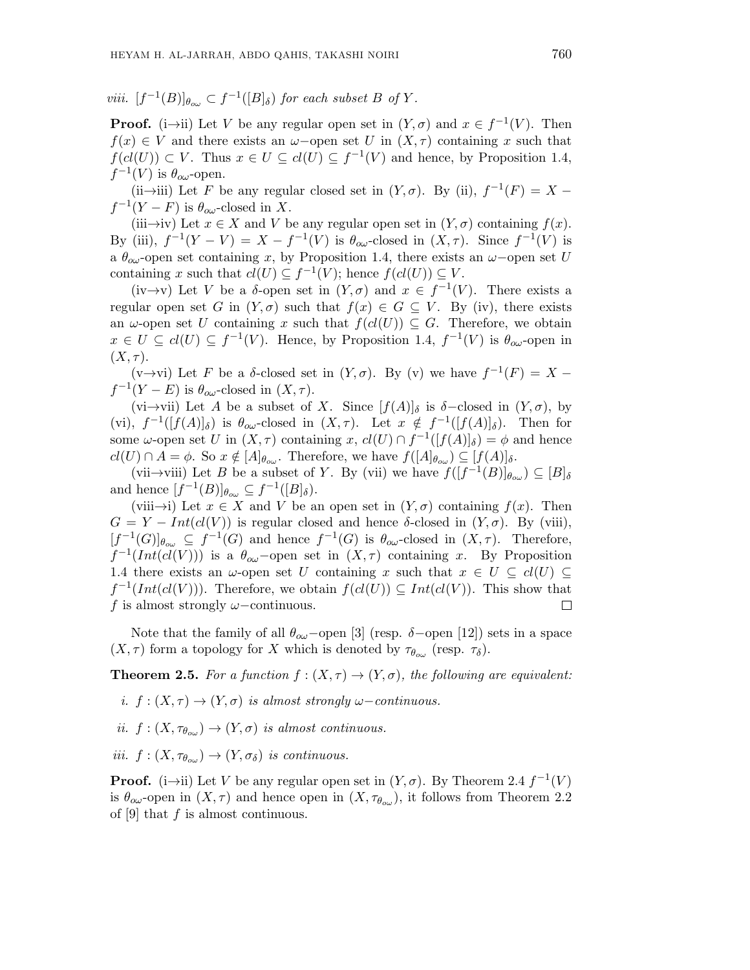viii.  $[f^{-1}(B)]_{\theta_{o\omega}} \subset f^{-1}([B]_{\delta})$  for each subset B of Y.

**Proof.** (i $\rightarrow$ ii) Let V be any regular open set in  $(Y, \sigma)$  and  $x \in f^{-1}(V)$ . Then  $f(x) \in V$  and there exists an  $\omega$ -open set U in  $(X, \tau)$  containing x such that  $f(cl(U)) \subset V$ . Thus  $x \in U \subseteq cl(U) \subseteq f^{-1}(V)$  and hence, by Proposition 1.4,  $f^{-1}(V)$  is  $\theta_{o\omega}$ -open.

(ii→iii) Let F be any regular closed set in  $(Y, \sigma)$ . By (ii),  $f^{-1}(F) = X$  $f^{-1}(Y - F)$  is  $\theta_{o\omega}$ -closed in X.

(iii→iv) Let  $x \in X$  and V be any regular open set in  $(Y, \sigma)$  containing  $f(x)$ . By (iii),  $f^{-1}(Y - V) = X - f^{-1}(V)$  is  $\theta_{\alpha\omega}$ -closed in  $(X, \tau)$ . Since  $f^{-1}(V)$  is a  $\theta_{\alpha\omega}$ -open set containing x, by Proposition 1.4, there exists an  $\omega$ -open set U containing x such that  $cl(U) \subseteq f^{-1}(V)$ ; hence  $f(cl(U)) \subseteq V$ .

 $(iv \rightarrow v)$  Let V be a  $\delta$ -open set in  $(Y, \sigma)$  and  $x \in f^{-1}(V)$ . There exists a regular open set G in  $(Y, \sigma)$  such that  $f(x) \in G \subseteq V$ . By (iv), there exists an  $\omega$ -open set U containing x such that  $f(cl(U)) \subseteq G$ . Therefore, we obtain  $x \in U \subseteq cl(U) \subseteq f^{-1}(V)$ . Hence, by Proposition 1.4,  $f^{-1}(V)$  is  $\theta_{\alpha\omega}$ -open in  $(X, \tau)$ .

(v $\rightarrow$ vi) Let F be a δ-closed set in  $(Y, \sigma)$ . By (v) we have  $f^{-1}(F) = X$  $f^{-1}(Y - E)$  is  $\theta_{o\omega}$ -closed in  $(X, \tau)$ .

(vi→vii) Let A be a subset of X. Since  $[f(A)]_\delta$  is  $\delta$ -closed in  $(Y, \sigma)$ , by (vi),  $f^{-1}([f(A)]_\delta)$  is  $\theta_{\infty}$ -closed in  $(X,\tau)$ . Let  $x \notin f^{-1}([f(A)]_\delta)$ . Then for some  $\omega$ -open set U in  $(X, \tau)$  containing x,  $cl(U) \cap f^{-1}([f(A)]_{\delta}) = \phi$  and hence  $cl(U) \cap A = \phi$ . So  $x \notin [A]_{\theta_{ow}}$ . Therefore, we have  $f([A]_{\theta_{ow}}) \subseteq [f(A)]_{\delta}$ .

(vii $\rightarrow$ viii) Let B be a subset of Y. By (vii) we have  $f([f^{-1}(B)]_{\theta_{o\omega}}) \subseteq [B]_{\delta}$ and hence  $[f^{-1}(B)]_{\theta_{ow}} \subseteq f^{-1}([B]_{\delta}).$ 

(viii→i) Let  $x \in X$  and V be an open set in  $(Y, \sigma)$  containing  $f(x)$ . Then  $G = Y - Int(cl(V))$  is regular closed and hence  $\delta$ -closed in  $(Y, \sigma)$ . By (viii),  $[f^{-1}(G)]_{\theta_{o\omega}} \subseteq f^{-1}(G)$  and hence  $f^{-1}(G)$  is  $\theta_{o\omega}$ -closed in  $(X,\tau)$ . Therefore,  $f^{-1}(Int(cl(V)))$  is a  $\theta_{o\omega}$ -open set in  $(X, \tau)$  containing x. By Proposition 1.4 there exists an  $\omega$ -open set U containing x such that  $x \in U \subseteq cl(U) \subseteq$  $f^{-1}(Int(cl(V)))$ . Therefore, we obtain  $f(cl(U)) \subseteq Int(cl(V))$ . This show that f is almost strongly  $\omega$ −continuous.  $\Box$ 

Note that the family of all  $\theta_{\alpha\omega}$ -open [3] (resp. δ-open [12]) sets in a space  $(X, \tau)$  form a topology for X which is denoted by  $\tau_{\theta_{\alpha\omega}}$  (resp.  $\tau_{\delta}$ ).

**Theorem 2.5.** For a function  $f : (X, \tau) \to (Y, \sigma)$ , the following are equivalent:

i.  $f : (X, \tau) \to (Y, \sigma)$  is almost strongly  $\omega$ -continuous.

ii.  $f: (X, \tau_{\theta_{\text{ow}}}) \to (Y, \sigma)$  is almost continuous.

iii.  $f: (X, \tau_{\theta_{\alpha}}) \to (Y, \sigma_{\delta})$  is continuous.

**Proof.** (i $\rightarrow$ ii) Let V be any regular open set in  $(Y, \sigma)$ . By Theorem 2.4  $f^{-1}(V)$ is  $\theta_{\alpha\omega}$ -open in  $(X,\tau)$  and hence open in  $(X,\tau_{\theta_{\alpha\omega}})$ , it follows from Theorem 2.2 of [9] that  $f$  is almost continuous.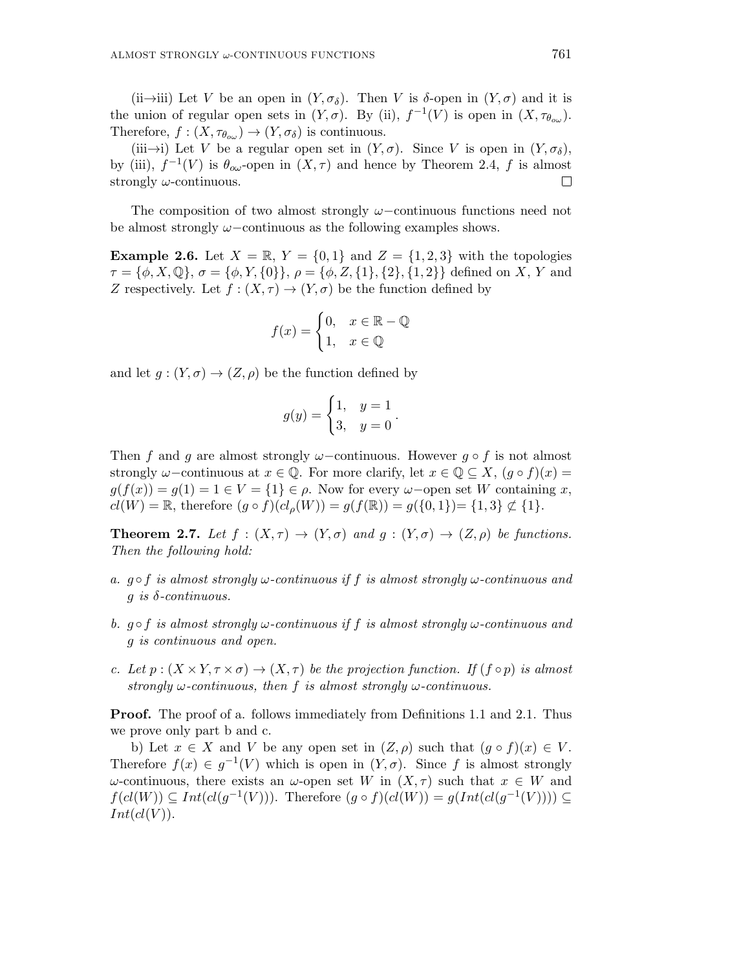(ii→iii) Let V be an open in  $(Y, \sigma_{\delta})$ . Then V is  $\delta$ -open in  $(Y, \sigma)$  and it is the union of regular open sets in  $(Y, \sigma)$ . By (ii),  $f^{-1}(V)$  is open in  $(X, \tau_{\theta_{\alpha\omega}})$ . Therefore,  $f: (X, \tau_{\theta_{\alpha\omega}}) \to (Y, \sigma_{\delta})$  is continuous.

(iii→i) Let V be a regular open set in  $(Y, \sigma)$ . Since V is open in  $(Y, \sigma_{\delta})$ , by (iii),  $f^{-1}(V)$  is  $\theta_{\infty}$ -open in  $(X, \tau)$  and hence by Theorem 2.4, f is almost strongly  $\omega$ -continuous.  $\Box$ 

The composition of two almost strongly ω−continuous functions need not be almost strongly  $\omega$ –continuous as the following examples shows.

**Example 2.6.** Let  $X = \mathbb{R}$ ,  $Y = \{0, 1\}$  and  $Z = \{1, 2, 3\}$  with the topologies  $\tau = {\phi, X, \mathbb{Q}}, \sigma = {\phi, Y, \{0\}}, \rho = {\phi, Z, \{1\}, \{2\}, \{1, 2\}}$  defined on X, Y and Z respectively. Let  $f : (X, \tau) \to (Y, \sigma)$  be the function defined by

$$
f(x) = \begin{cases} 0, & x \in \mathbb{R} - \mathbb{Q} \\ 1, & x \in \mathbb{Q} \end{cases}
$$

and let  $g: (Y, \sigma) \to (Z, \rho)$  be the function defined by

$$
g(y) = \begin{cases} 1, & y = 1 \\ 3, & y = 0 \end{cases}.
$$

Then f and g are almost strongly  $\omega$ -continuous. However  $g \circ f$  is not almost strongly  $\omega$ –continuous at  $x \in \mathbb{Q}$ . For more clarify, let  $x \in \mathbb{Q} \subseteq X$ ,  $(q \circ f)(x) =$  $g(f(x)) = g(1) = 1 \in V = \{1\} \in \rho$ . Now for every  $\omega$ -open set W containing x,  $cl(W) = \mathbb{R}$ , therefore  $(g \circ f)(cl_{\rho}(W)) = g(f(\mathbb{R})) = g({0, 1}) = {1, 3} \not\subset {1}.$ 

**Theorem 2.7.** Let  $f : (X, \tau) \to (Y, \sigma)$  and  $g : (Y, \sigma) \to (Z, \rho)$  be functions. Then the following hold:

- a.  $q \circ f$  is almost strongly  $\omega$ -continuous if f is almost strongly  $\omega$ -continuous and  $g$  is  $\delta$ -continuous.
- b.  $q \circ f$  is almost strongly  $\omega$ -continuous if f is almost strongly  $\omega$ -continuous and g is continuous and open.
- c. Let  $p:(X\times Y,\tau\times\sigma)\to (X,\tau)$  be the projection function. If  $(f\circ p)$  is almost strongly  $\omega$ -continuous, then f is almost strongly  $\omega$ -continuous.

**Proof.** The proof of a. follows immediately from Definitions 1.1 and 2.1. Thus we prove only part b and c.

b) Let  $x \in X$  and V be any open set in  $(Z, \rho)$  such that  $(g \circ f)(x) \in V$ . Therefore  $f(x) \in g^{-1}(V)$  which is open in  $(Y, \sigma)$ . Since f is almost strongly ω-continuous, there exists an ω-open set W in  $(X,τ)$  such that  $x ∈ W$  and  $f(cl(W)) \subseteq Int(cl(g^{-1}(V)))$ . Therefore  $(g \circ f)(cl(W)) = g(Int(cl(g^{-1}(V)))) \subseteq$  $Int(cl(V))$ .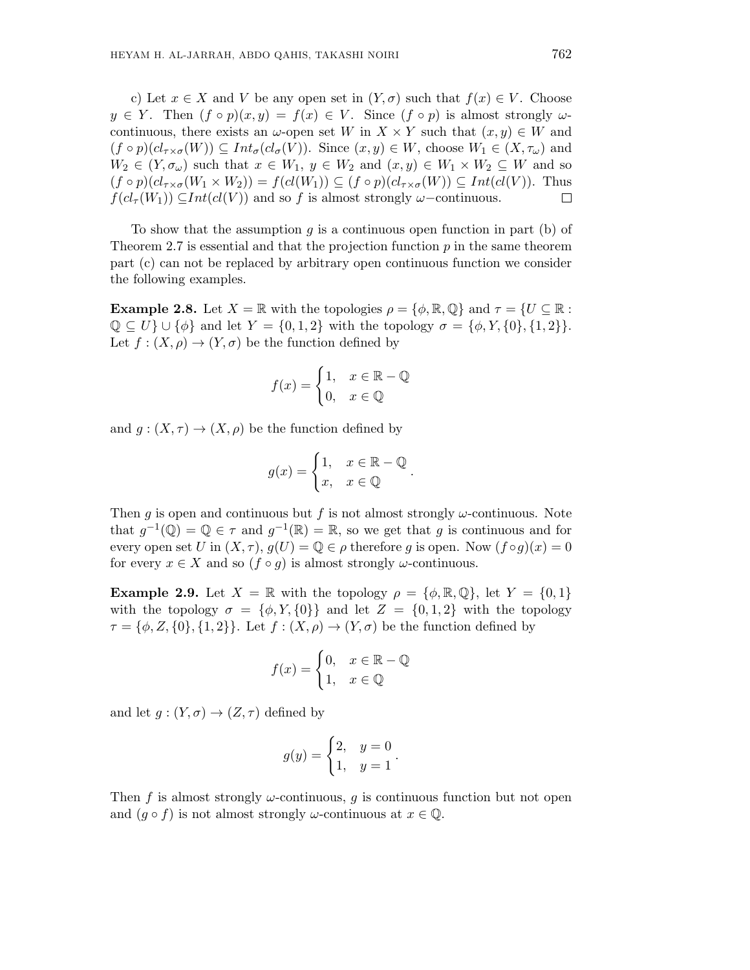c) Let  $x \in X$  and V be any open set in  $(Y, \sigma)$  such that  $f(x) \in V$ . Choose  $y \in Y$ . Then  $(f \circ p)(x, y) = f(x) \in V$ . Since  $(f \circ p)$  is almost strongly  $\omega$ continuous, there exists an  $\omega$ -open set W in  $X \times Y$  such that  $(x, y) \in W$  and  $(f \circ p)(cl_{\tau \times \sigma}(W)) \subseteq Int_{\sigma}(cl_{\sigma}(V))$ . Since  $(x, y) \in W$ , choose  $W_1 \in (X, \tau_{\omega})$  and  $W_2 \in (Y, \sigma_\omega)$  such that  $x \in W_1, y \in W_2$  and  $(x, y) \in W_1 \times W_2 \subseteq W$  and so  $(f \circ p)(cl_{\tau \times \sigma}(W_1 \times W_2)) = f(cl(W_1)) \subseteq (f \circ p)(cl_{\tau \times \sigma}(W)) \subseteq Int(cl(V)).$  Thus  $f(cl_{\tau}(W_1)) \subseteq Int(cl(V))$  and so f is almost strongly  $\omega$ -continuous.  $\Box$ 

To show that the assumption q is a continuous open function in part (b) of Theorem 2.7 is essential and that the projection function  $p$  in the same theorem part (c) can not be replaced by arbitrary open continuous function we consider the following examples.

**Example 2.8.** Let  $X = \mathbb{R}$  with the topologies  $\rho = \{\phi, \mathbb{R}, \mathbb{Q}\}\$  and  $\tau = \{U \subseteq \mathbb{R}\}\$ :  $\mathbb{Q} \subseteq U$   $\cup$  { $\phi$ } and let  $Y = \{0, 1, 2\}$  with the topology  $\sigma = \{\phi, Y, \{0\}, \{1, 2\}\}.$ Let  $f: (X, \rho) \to (Y, \sigma)$  be the function defined by

$$
f(x) = \begin{cases} 1, & x \in \mathbb{R} - \mathbb{Q} \\ 0, & x \in \mathbb{Q} \end{cases}
$$

and  $g: (X, \tau) \to (X, \rho)$  be the function defined by

$$
g(x) = \begin{cases} 1, & x \in \mathbb{R} - \mathbb{Q} \\ x, & x \in \mathbb{Q} \end{cases}.
$$

Then q is open and continuous but f is not almost strongly  $\omega$ -continuous. Note that  $g^{-1}(\mathbb{Q}) = \mathbb{Q} \in \tau$  and  $g^{-1}(\mathbb{R}) = \mathbb{R}$ , so we get that g is continuous and for every open set U in  $(X, \tau)$ ,  $g(U) = \mathbb{Q} \in \rho$  therefore g is open. Now  $(f \circ g)(x) = 0$ for every  $x \in X$  and so  $(f \circ g)$  is almost strongly  $\omega$ -continuous.

**Example 2.9.** Let  $X = \mathbb{R}$  with the topology  $\rho = {\phi, \mathbb{R}, \mathbb{Q}}$ , let  $Y = {0, 1}$ with the topology  $\sigma = {\phi, Y, \{0\}}$  and let  $Z = {0, 1, 2}$  with the topology  $\tau = {\phi, Z, \{0\}, \{1, 2\}}.$  Let  $f : (X, \rho) \to (Y, \sigma)$  be the function defined by

$$
f(x) = \begin{cases} 0, & x \in \mathbb{R} - \mathbb{Q} \\ 1, & x \in \mathbb{Q} \end{cases}
$$

and let  $g:(Y,\sigma)\to(Z,\tau)$  defined by

$$
g(y) = \begin{cases} 2, & y = 0 \\ 1, & y = 1 \end{cases}.
$$

Then f is almost strongly  $\omega$ -continuous, q is continuous function but not open and  $(g \circ f)$  is not almost strongly  $\omega$ -continuous at  $x \in \mathbb{Q}$ .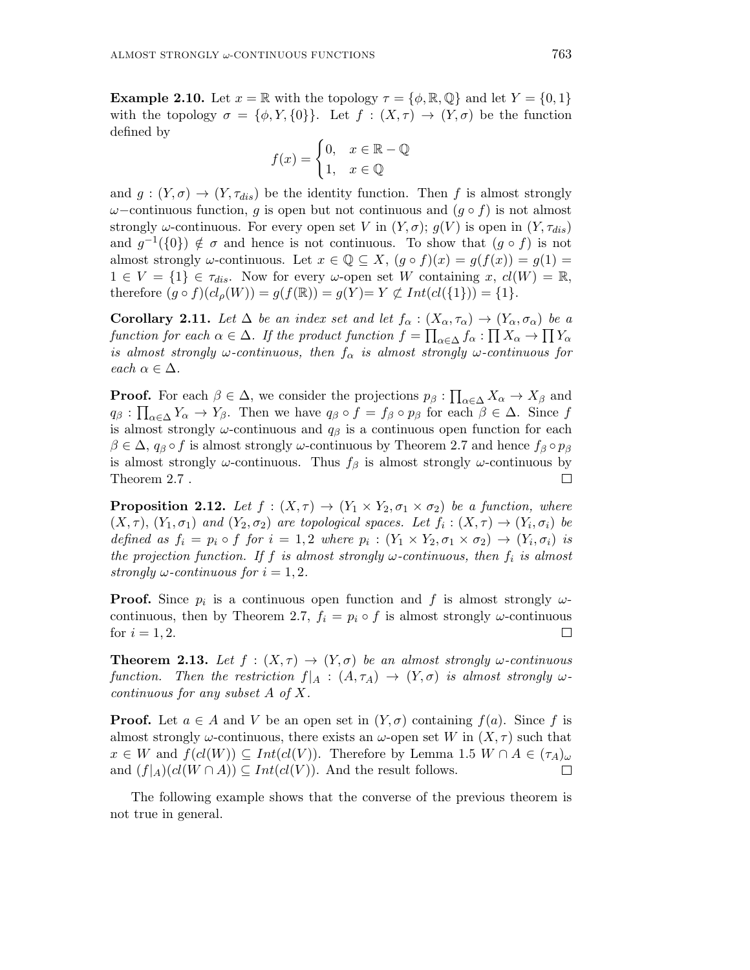**Example 2.10.** Let  $x = \mathbb{R}$  with the topology  $\tau = \{\phi, \mathbb{R}, \mathbb{Q}\}\$  and let  $Y = \{0, 1\}$ with the topology  $\sigma = {\phi, Y, \{0\}}$ . Let  $f : (X, \tau) \to (Y, \sigma)$  be the function defined by

$$
f(x) = \begin{cases} 0, & x \in \mathbb{R} - \mathbb{Q} \\ 1, & x \in \mathbb{Q} \end{cases}
$$

and  $g: (Y, \sigma) \to (Y, \tau_{dis})$  be the identity function. Then f is almost strongly  $\omega$ –continuous function, q is open but not continuous and  $(q \circ f)$  is not almost strongly  $\omega$ -continuous. For every open set V in  $(Y, \sigma)$ ;  $g(V)$  is open in  $(Y, \tau_{dis})$ and  $g^{-1}(\{0\}) \notin \sigma$  and hence is not continuous. To show that  $(g \circ f)$  is not almost strongly  $\omega$ -continuous. Let  $x \in \mathbb{Q} \subseteq X$ ,  $(g \circ f)(x) = g(f(x)) = g(1) =$  $1 \in V = \{1\} \in \tau_{dis}.$  Now for every  $\omega$ -open set W containing x,  $cl(W) = \mathbb{R},$ therefore  $(g \circ f)(cl_{\rho}(W)) = g(f(\mathbb{R})) = g(Y) = Y \not\subset Int(cl(\{1\})) = \{1\}.$ 

**Corollary 2.11.** Let  $\Delta$  be an index set and let  $f_{\alpha}: (X_{\alpha}, \tau_{\alpha}) \to (Y_{\alpha}, \sigma_{\alpha})$  be a function for each  $\alpha \in \Delta$ . If the product function  $f = \prod_{\alpha \in \Delta} f_{\alpha} : \prod X_{\alpha} \to \prod Y_{\alpha}$ is almost strongly  $\omega$ -continuous, then  $f_{\alpha}$  is almost strongly  $\omega$ -continuous for each  $\alpha \in \Delta$ .

**Proof.** For each  $\beta \in \Delta$ , we consider the projections  $p_{\beta}: \prod_{\alpha \in \Delta} X_{\alpha} \to X_{\beta}$  and  $q_{\beta} : \prod_{\alpha \in \Delta} Y_{\alpha} \to Y_{\beta}$ . Then we have  $q_{\beta} \circ f = f_{\beta} \circ p_{\beta}$  for each  $\beta \in \Delta$ . Since f is almost strongly  $\omega$ -continuous and  $q_\beta$  is a continuous open function for each  $\beta \in \Delta$ ,  $q_{\beta} \circ f$  is almost strongly  $\omega$ -continuous by Theorem 2.7 and hence  $f_{\beta} \circ p_{\beta}$ is almost strongly  $\omega$ -continuous. Thus  $f_\beta$  is almost strongly  $\omega$ -continuous by Theorem 2.7 . П

**Proposition 2.12.** Let  $f : (X, \tau) \to (Y_1 \times Y_2, \sigma_1 \times \sigma_2)$  be a function, where  $(X, \tau), (Y_1, \sigma_1)$  and  $(Y_2, \sigma_2)$  are topological spaces. Let  $f_i : (X, \tau) \to (Y_i, \sigma_i)$  be defined as  $f_i = p_i \circ f$  for  $i = 1, 2$  where  $p_i : (Y_1 \times Y_2, \sigma_1 \times \sigma_2) \rightarrow (Y_i, \sigma_i)$  is the projection function. If f is almost strongly  $\omega$ -continuous, then  $f_i$  is almost strongly  $\omega$ -continuous for  $i = 1, 2$ .

**Proof.** Since  $p_i$  is a continuous open function and f is almost strongly  $\omega$ continuous, then by Theorem 2.7,  $f_i = p_i \circ f$  is almost strongly  $\omega$ -continuous for  $i = 1, 2$ .  $\Box$ 

**Theorem 2.13.** Let  $f : (X, \tau) \to (Y, \sigma)$  be an almost strongly  $\omega$ -continuous function. Then the restriction  $f|_A : (A, \tau_A) \to (Y, \sigma)$  is almost strongly  $\omega$ continuous for any subset A of X.

**Proof.** Let  $a \in A$  and V be an open set in  $(Y, \sigma)$  containing  $f(a)$ . Since f is almost strongly  $\omega$ -continuous, there exists an  $\omega$ -open set W in  $(X, \tau)$  such that  $x \in W$  and  $f(cl(W)) \subseteq Int(cl(V))$ . Therefore by Lemma 1.5  $W \cap A \in (\tau_A)_{\omega}$ and  $(f|_A)(cl(W \cap A)) \subseteq Int(cl(V))$ . And the result follows.  $\Box$ 

The following example shows that the converse of the previous theorem is not true in general.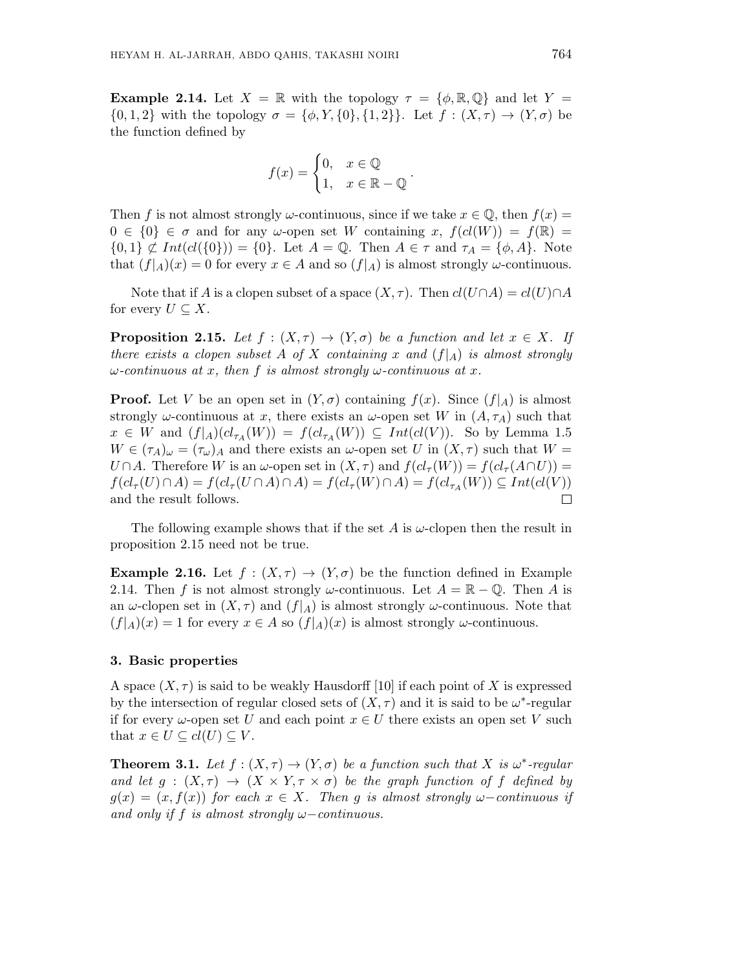**Example 2.14.** Let  $X = \mathbb{R}$  with the topology  $\tau = \{\phi, \mathbb{R}, \mathbb{Q}\}\$  and let  $Y =$  $\{0, 1, 2\}$  with the topology  $\sigma = \{\phi, Y, \{0\}, \{1, 2\}\}\$ . Let  $f : (X, \tau) \to (Y, \sigma)$  be the function defined by

$$
f(x) = \begin{cases} 0, & x \in \mathbb{Q} \\ 1, & x \in \mathbb{R} - \mathbb{Q} \end{cases}
$$

.

Then f is not almost strongly  $\omega$ -continuous, since if we take  $x \in \mathbb{Q}$ , then  $f(x) =$  $0 \in \{0\} \in \sigma$  and for any  $\omega$ -open set W containing x,  $f(cl(W)) = f(\mathbb{R}) =$  $\{0,1\} \not\subset Int(cl(\{0\})) = \{0\}$ . Let  $A = \mathbb{Q}$ . Then  $A \in \tau$  and  $\tau_A = \{\phi, A\}$ . Note that  $(f|_A)(x) = 0$  for every  $x \in A$  and so  $(f|_A)$  is almost strongly  $\omega$ -continuous.

Note that if A is a clopen subset of a space  $(X, \tau)$ . Then  $cl(U \cap A) = cl(U) \cap A$ for every  $U \subseteq X$ .

**Proposition 2.15.** Let  $f : (X, \tau) \to (Y, \sigma)$  be a function and let  $x \in X$ . If there exists a clopen subset A of X containing x and  $(f|_A)$  is almost strongly  $\omega$ -continuous at x, then f is almost strongly  $\omega$ -continuous at x.

**Proof.** Let V be an open set in  $(Y, \sigma)$  containing  $f(x)$ . Since  $(f|_A)$  is almost strongly  $\omega$ -continuous at x, there exists an  $\omega$ -open set W in  $(A, \tau_A)$  such that  $x \in W$  and  $(f|_A)(cl_{\tau_A}(W)) = f(cl_{\tau_A}(W)) \subseteq Int(cl(V))$ . So by Lemma 1.5  $W \in (\tau_A)_{\omega} = (\tau_{\omega})_A$  and there exists an  $\omega$ -open set U in  $(X, \tau)$  such that  $W =$  $U \cap A$ . Therefore W is an  $\omega$ -open set in  $(X, \tau)$  and  $f(cl_{\tau}(W)) = f(cl_{\tau}(A \cap U)) =$  $f(cl_\tau(U) \cap A) = f(cl_\tau(U \cap A) \cap A) = f(cl_\tau(W) \cap A) = f(cl_{\tau_A}(W)) \subseteq Int(cl(V))$ and the result follows.  $\Box$ 

The following example shows that if the set A is  $\omega$ -clopen then the result in proposition 2.15 need not be true.

**Example 2.16.** Let  $f : (X, \tau) \to (Y, \sigma)$  be the function defined in Example 2.14. Then f is not almost strongly  $\omega$ -continuous. Let  $A = \mathbb{R} - \mathbb{Q}$ . Then A is an  $\omega$ -clopen set in  $(X, \tau)$  and  $(f|_A)$  is almost strongly  $\omega$ -continuous. Note that  $(f|_A)(x) = 1$  for every  $x \in A$  so  $(f|_A)(x)$  is almost strongly  $\omega$ -continuous.

#### 3. Basic properties

A space  $(X, \tau)$  is said to be weakly Hausdorff [10] if each point of X is expressed by the intersection of regular closed sets of  $(X, \tau)$  and it is said to be  $\omega^*$ -regular if for every  $\omega$ -open set U and each point  $x \in U$  there exists an open set V such that  $x \in U \subseteq cl(U) \subseteq V$ .

**Theorem 3.1.** Let  $f : (X, \tau) \to (Y, \sigma)$  be a function such that X is  $\omega^*$ -regular and let  $g : (X, \tau) \to (X \times Y, \tau \times \sigma)$  be the graph function of f defined by  $g(x) = (x, f(x))$  for each  $x \in X$ . Then g is almost strongly  $\omega$ -continuous if and only if f is almost strongly  $\omega$ -continuous.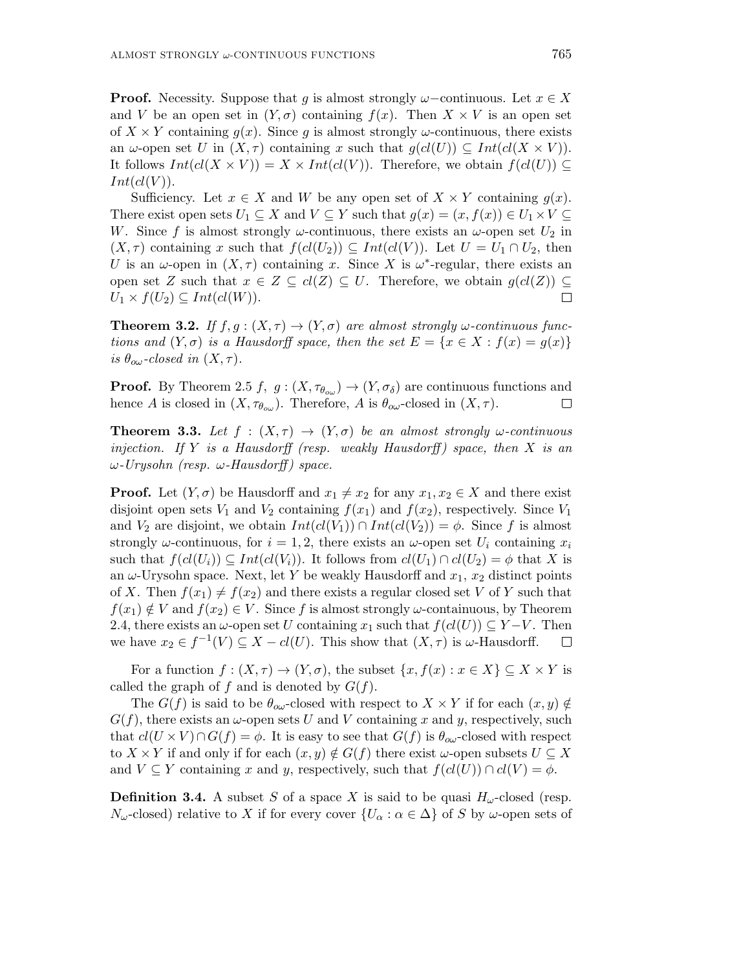**Proof.** Necessity. Suppose that g is almost strongly  $\omega$ -continuous. Let  $x \in X$ and V be an open set in  $(Y, \sigma)$  containing  $f(x)$ . Then  $X \times V$  is an open set of  $X \times Y$  containing  $q(x)$ . Since q is almost strongly  $\omega$ -continuous, there exists an  $\omega$ -open set U in  $(X, \tau)$  containing x such that  $g(cl(U)) \subseteq Int(cl(X \times V))$ . It follows  $Int(cl(X \times V)) = X \times Int(cl(V))$ . Therefore, we obtain  $f(cl(U)) \subseteq$  $Int(cl(V))$ .

Sufficiency. Let  $x \in X$  and W be any open set of  $X \times Y$  containing  $g(x)$ . There exist open sets  $U_1 \subseteq X$  and  $V \subseteq Y$  such that  $g(x) = (x, f(x)) \in U_1 \times V \subseteq Y$ W. Since f is almost strongly  $\omega$ -continuous, there exists an  $\omega$ -open set  $U_2$  in  $(X, \tau)$  containing x such that  $f(cl(U_2)) \subseteq Int(cl(V))$ . Let  $U = U_1 \cap U_2$ , then U is an  $\omega$ -open in  $(X, \tau)$  containing x. Since X is  $\omega^*$ -regular, there exists an open set Z such that  $x \in Z \subseteq cl(Z) \subseteq U$ . Therefore, we obtain  $g(cl(Z)) \subseteq$  $U_1 \times f(U_2) \subseteq Int(cl(W)).$  $\Box$ 

**Theorem 3.2.** If  $f, g : (X, \tau) \to (Y, \sigma)$  are almost strongly  $\omega$ -continuous functions and  $(Y, \sigma)$  is a Hausdorff space, then the set  $E = \{x \in X : f(x) = g(x)\}\$ is  $\theta_{\alpha\omega}$ -closed in  $(X,\tau)$ .

**Proof.** By Theorem 2.5 f,  $g: (X, \tau_{\theta_{\alpha}}) \to (Y, \sigma_{\delta})$  are continuous functions and hence A is closed in  $(X, \tau_{\theta_{ow}})$ . Therefore, A is  $\theta_{ow}$ -closed in  $(X, \tau)$ .  $\Box$ 

**Theorem 3.3.** Let  $f : (X, \tau) \to (Y, \sigma)$  be an almost strongly  $\omega$ -continuous injection. If Y is a Hausdorff (resp. weakly Hausdorff) space, then X is an  $ω$ -Urysohn (resp.  $ω$ -Hausdorff) space.

**Proof.** Let  $(Y, \sigma)$  be Hausdorff and  $x_1 \neq x_2$  for any  $x_1, x_2 \in X$  and there exist disjoint open sets  $V_1$  and  $V_2$  containing  $f(x_1)$  and  $f(x_2)$ , respectively. Since  $V_1$ and  $V_2$  are disjoint, we obtain  $Int(cl(V_1)) \cap Int(cl(V_2)) = \phi$ . Since f is almost strongly  $\omega$ -continuous, for  $i = 1, 2$ , there exists an  $\omega$ -open set  $U_i$  containing  $x_i$ such that  $f(cl(U_i)) \subseteq Int(cl(V_i))$ . It follows from  $cl(U_1) \cap cl(U_2) = \phi$  that X is an  $\omega$ -Urysohn space. Next, let Y be weakly Hausdorff and  $x_1, x_2$  distinct points of X. Then  $f(x_1) \neq f(x_2)$  and there exists a regular closed set V of Y such that  $f(x_1) \notin V$  and  $f(x_2) \in V$ . Since f is almost strongly  $\omega$ -containuous, by Theorem 2.4, there exists an  $\omega$ -open set U containing  $x_1$  such that  $f(cl(U)) \subseteq Y-V$ . Then we have  $x_2 \in f^{-1}(V) \subseteq X - cl(U)$ . This show that  $(X, \tau)$  is  $\omega$ -Hausdorff.  $\Box$ 

For a function  $f:(X,\tau) \to (Y,\sigma)$ , the subset  $\{x,f(x): x \in X\} \subseteq X \times Y$  is called the graph of f and is denoted by  $G(f)$ .

The  $G(f)$  is said to be  $\theta_{\alpha\omega}$ -closed with respect to  $X \times Y$  if for each  $(x, y) \notin$  $G(f)$ , there exists an  $\omega$ -open sets U and V containing x and y, respectively, such that  $cl(U \times V) \cap G(f) = \phi$ . It is easy to see that  $G(f)$  is  $\theta_{\alpha\omega}$ -closed with respect to  $X \times Y$  if and only if for each  $(x, y) \notin G(f)$  there exist  $\omega$ -open subsets  $U \subseteq X$ and  $V \subseteq Y$  containing x and y, respectively, such that  $f(cl(U)) \cap cl(V) = \phi$ .

**Definition 3.4.** A subset S of a space X is said to be quasi  $H_{\omega}$ -closed (resp.  $N_{\omega}$ -closed) relative to X if for every cover  $\{U_{\alpha} : \alpha \in \Delta\}$  of S by  $\omega$ -open sets of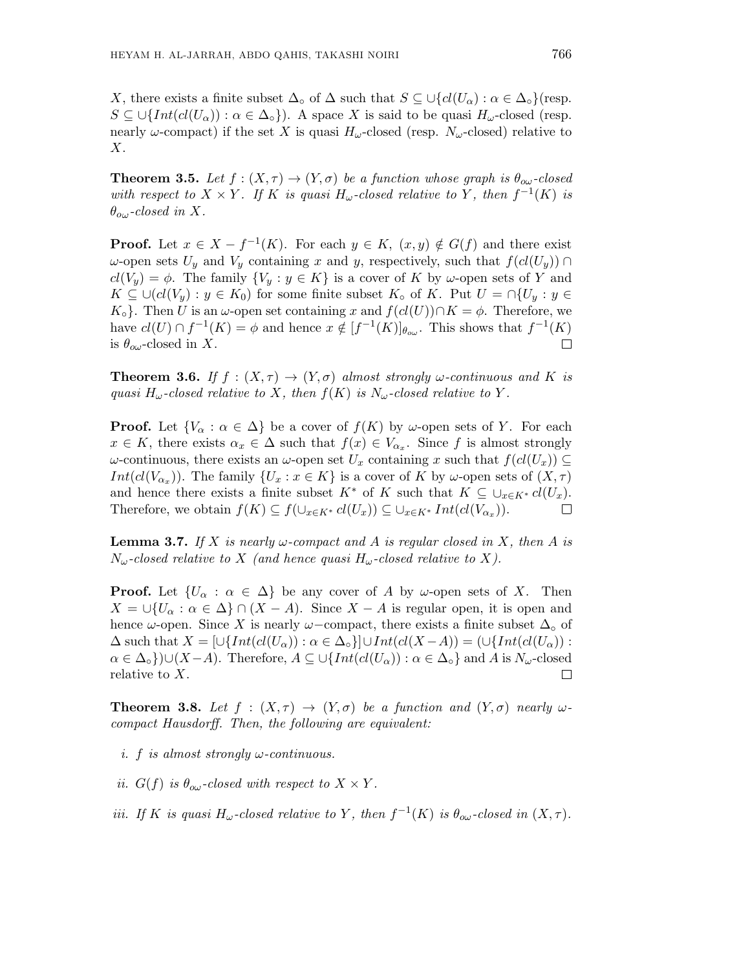X, there exists a finite subset  $\Delta_{\circ}$  of  $\Delta$  such that  $S \subseteq \bigcup \{ cl(U_{\alpha}) : \alpha \in \Delta_{\circ} \}$  (resp.  $S \subseteq \bigcup \{Int(cl(U_\alpha)) : \alpha \in \Delta_\circ\}$ . A space X is said to be quasi  $H_\omega$ -closed (resp. nearly  $\omega$ -compact) if the set X is quasi  $H_{\omega}$ -closed (resp.  $N_{\omega}$ -closed) relative to  $X$ .

**Theorem 3.5.** Let  $f : (X, \tau) \to (Y, \sigma)$  be a function whose graph is  $\theta_{\alpha\omega}$ -closed with respect to  $X \times Y$ . If K is quasi  $H_{\omega}$ -closed relative to Y, then  $f^{-1}(K)$  is  $\theta_{o\omega}$ -closed in X.

**Proof.** Let  $x \in X - f^{-1}(K)$ . For each  $y \in K$ ,  $(x, y) \notin G(f)$  and there exist ω-open sets  $U_y$  and  $V_y$  containing x and y, respectively, such that  $f(cl(U_y)) \cap$  $cl(V_y) = \phi$ . The family  $\{V_y : y \in K\}$  is a cover of K by  $\omega$ -open sets of Y and  $K \subseteq \bigcup (cl(V_u) : y \in K_0)$  for some finite subset  $K_{\circ}$  of K. Put  $U = \bigcap \{U_u : y \in K_0\}$  $K_{\circ}$ . Then U is an  $\omega$ -open set containing x and  $f(cl(U)) \cap K = \phi$ . Therefore, we have  $cl(U) \cap f^{-1}(K) = \phi$  and hence  $x \notin [f^{-1}(K)]_{\theta_{ow}}$ . This shows that  $f^{-1}(K)$ is  $\theta_{\alpha\omega}$ -closed in X.  $\Box$ 

**Theorem 3.6.** If  $f : (X, \tau) \to (Y, \sigma)$  almost strongly  $\omega$ -continuous and K is quasi  $H_{\omega}$ -closed relative to X, then  $f(K)$  is  $N_{\omega}$ -closed relative to Y.

**Proof.** Let  $\{V_{\alpha} : \alpha \in \Delta\}$  be a cover of  $f(K)$  by  $\omega$ -open sets of Y. For each  $x \in K$ , there exists  $\alpha_x \in \Delta$  such that  $f(x) \in V_{\alpha_x}$ . Since f is almost strongly ω-continuous, there exists an ω-open set  $U_x$  containing x such that  $f(cl(U_x)) \subseteq$  $Int(cl(V_{\alpha_x}))$ . The family  $\{U_x : x \in K\}$  is a cover of K by  $\omega$ -open sets of  $(X, \tau)$ and hence there exists a finite subset K<sup>\*</sup> of K such that  $K \subseteq \bigcup_{x \in K^*} cl(U_x)$ . Therefore, we obtain  $f(K) \subseteq f(\bigcup_{x \in K^*} cl(U_x)) \subseteq \bigcup_{x \in K^*} Int(cl(V_{\alpha_x})).$  $\Box$ 

**Lemma 3.7.** If X is nearly  $\omega$ -compact and A is regular closed in X, then A is  $N_{\omega}$ -closed relative to X (and hence quasi  $H_{\omega}$ -closed relative to X).

**Proof.** Let  $\{U_{\alpha} : \alpha \in \Delta\}$  be any cover of A by  $\omega$ -open sets of X. Then  $X = \bigcup \{U_{\alpha} : \alpha \in \Delta\} \cap (X - A)$ . Since  $X - A$  is regular open, it is open and hence  $\omega$ -open. Since X is nearly  $\omega$ -compact, there exists a finite subset  $\Delta_{\circ}$  of  $\Delta$  such that  $X = \left[\bigcup \{Int(cl(U_\alpha)) : \alpha \in \Delta_\circ\}\right] \cup Int(cl(X - A)) = (\bigcup \{Int(cl(U_\alpha)) : \alpha \in \Delta_\circ\}$  $\alpha \in \Delta_o$ )∪(X-A). Therefore,  $A \subseteq \bigcup \{ Int(cl(U_\alpha)) : \alpha \in \Delta_o \}$  and A is  $N_\omega$ -closed relative to X.  $\Box$ 

**Theorem 3.8.** Let  $f : (X, \tau) \to (Y, \sigma)$  be a function and  $(Y, \sigma)$  nearly  $\omega$ compact Hausdorff. Then, the following are equivalent:

- i. f is almost strongly  $\omega$ -continuous.
- ii.  $G(f)$  is  $\theta_{\alpha\omega}$ -closed with respect to  $X \times Y$ .
- iii. If K is quasi  $H_{\omega}$ -closed relative to Y, then  $f^{-1}(K)$  is  $\theta_{\omega}$ -closed in  $(X, \tau)$ .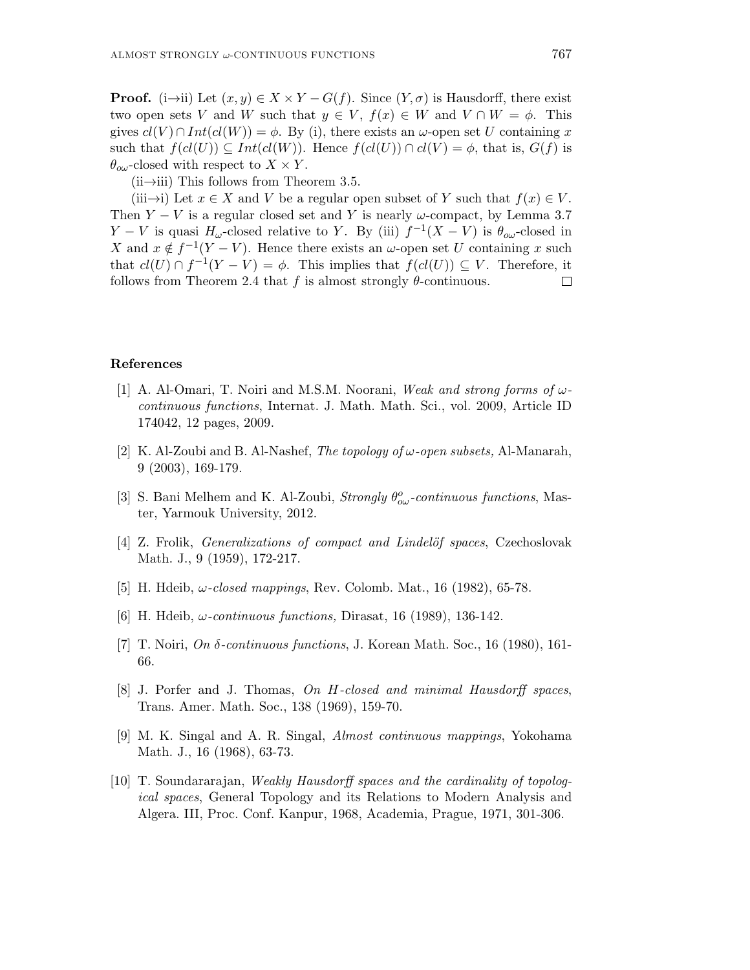**Proof.** (i→ii) Let  $(x, y) \in X \times Y - G(f)$ . Since  $(Y, \sigma)$  is Hausdorff, there exist two open sets V and W such that  $y \in V$ ,  $f(x) \in W$  and  $V \cap W = \phi$ . This gives  $cl(V) \cap Int(cl(W)) = \phi$ . By (i), there exists an  $\omega$ -open set U containing x such that  $f(cl(U)) \subseteq Int(cl(W))$ . Hence  $f(cl(U)) \cap cl(V) = \phi$ , that is,  $G(f)$  is  $\theta_{\rm oo}$ -closed with respect to  $X \times Y$ .

 $(iii\rightarrow iii)$  This follows from Theorem 3.5.

(iii→i) Let  $x \in X$  and V be a regular open subset of Y such that  $f(x) \in V$ . Then  $Y - V$  is a regular closed set and Y is nearly  $\omega$ -compact, by Lemma 3.7 Y – V is quasi  $H_{\omega}$ -closed relative to Y. By (iii)  $f^{-1}(X - V)$  is  $\theta_{\omega}$ -closed in X and  $x \notin f^{-1}(Y - V)$ . Hence there exists an  $\omega$ -open set U containing x such that  $cl(U) \cap f^{-1}(Y - V) = \phi$ . This implies that  $f(cl(U)) \subseteq V$ . Therefore, it follows from Theorem 2.4 that f is almost strongly  $\theta$ -continuous.  $\Box$ 

#### References

- [1] A. Al-Omari, T. Noiri and M.S.M. Noorani, Weak and strong forms of  $\omega$ continuous functions, Internat. J. Math. Math. Sci., vol. 2009, Article ID 174042, 12 pages, 2009.
- [2] K. Al-Zoubi and B. Al-Nashef, The topology of  $\omega$ -open subsets, Al-Manarah, 9 (2003), 169-179.
- [3] S. Bani Melhem and K. Al-Zoubi, Strongly  $\theta_{\infty}^o$ -continuous functions, Master, Yarmouk University, 2012.
- $|4|$  Z. Frolik, *Generalizations of compact and Lindelöf spaces*, Czechoslovak Math. J., 9 (1959), 172-217.
- [5] H. Hdeib,  $\omega$ -closed mappings, Rev. Colomb. Mat., 16 (1982), 65-78.
- [6] H. Hdeib,  $\omega$ -continuous functions, Dirasat, 16 (1989), 136-142.
- [7] T. Noiri, On  $\delta$ -continuous functions, J. Korean Math. Soc., 16 (1980), 161-66.
- [8] J. Porfer and J. Thomas, On H-closed and minimal Hausdorff spaces, Trans. Amer. Math. Soc., 138 (1969), 159-70.
- [9] M. K. Singal and A. R. Singal, Almost continuous mappings, Yokohama Math. J., 16 (1968), 63-73.
- [10] T. Soundararajan, Weakly Hausdorff spaces and the cardinality of topological spaces, General Topology and its Relations to Modern Analysis and Algera. III, Proc. Conf. Kanpur, 1968, Academia, Prague, 1971, 301-306.